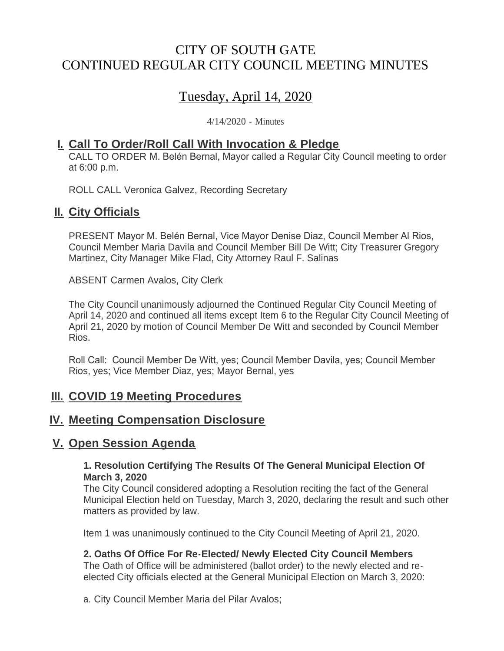# CITY OF SOUTH GATE CONTINUED REGULAR CITY COUNCIL MEETING MINUTES

# Tuesday, April 14, 2020

4/14/2020 - Minutes

## **Call To Order/Roll Call With Invocation & Pledge I.**

CALL TO ORDER M. Belén Bernal, Mayor called a Regular City Council meeting to order at 6:00 p.m.

ROLL CALL Veronica Galvez, Recording Secretary

### **II.** City Officials

PRESENT Mayor M. Belén Bernal, Vice Mayor Denise Diaz, Council Member Al Rios, Council Member Maria Davila and Council Member Bill De Witt; City Treasurer Gregory Martinez, City Manager Mike Flad, City Attorney Raul F. Salinas

ABSENT Carmen Avalos, City Clerk

The City Council unanimously adjourned the Continued Regular City Council Meeting of April 14, 2020 and continued all items except Item 6 to the Regular City Council Meeting of April 21, 2020 by motion of Council Member De Witt and seconded by Council Member Rios.

Roll Call: Council Member De Witt, yes; Council Member Davila, yes; Council Member Rios, yes; Vice Member Diaz, yes; Mayor Bernal, yes

## **III. COVID 19 Meeting Procedures**

## **IV. Meeting Compensation Disclosure**

## **<u>V. Open Session Agenda</u>**

#### **1. Resolution Certifying The Results Of The General Municipal Election Of March 3, 2020**

The City Council considered adopting a Resolution reciting the fact of the General Municipal Election held on Tuesday, March 3, 2020, declaring the result and such other matters as provided by law.

Item 1 was unanimously continued to the City Council Meeting of April 21, 2020.

#### **2. Oaths Of Office For Re-Elected/ Newly Elected City Council Members**

The Oath of Office will be administered (ballot order) to the newly elected and reelected City officials elected at the General Municipal Election on March 3, 2020:

a. City Council Member Maria del Pilar Avalos;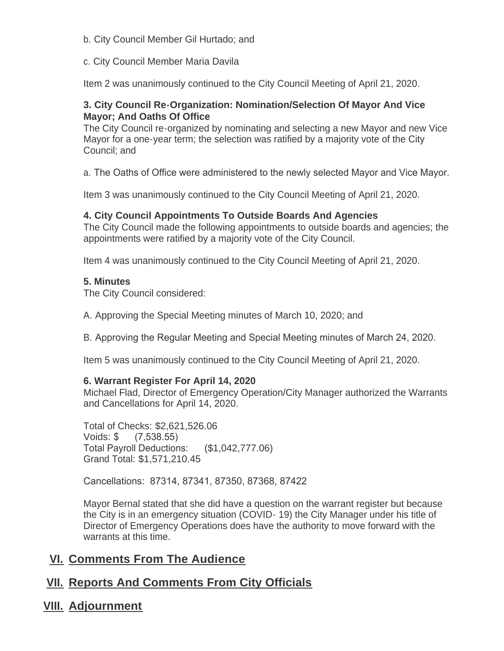- b. City Council Member Gil Hurtado; and
- c. City Council Member Maria Davila

Item 2 was unanimously continued to the City Council Meeting of April 21, 2020.

#### **3. City Council Re-Organization: Nomination/Selection Of Mayor And Vice Mayor; And Oaths Of Office**

The City Council re-organized by nominating and selecting a new Mayor and new Vice Mayor for a one-year term; the selection was ratified by a majority vote of the City Council; and

a. The Oaths of Office were administered to the newly selected Mayor and Vice Mayor.

Item 3 was unanimously continued to the City Council Meeting of April 21, 2020.

#### **4. City Council Appointments To Outside Boards And Agencies**

The City Council made the following appointments to outside boards and agencies; the appointments were ratified by a majority vote of the City Council.

Item 4 was unanimously continued to the City Council Meeting of April 21, 2020.

#### **5. Minutes**

The City Council considered:

A. Approving the Special Meeting minutes of March 10, 2020; and

B. Approving the Regular Meeting and Special Meeting minutes of March 24, 2020.

Item 5 was unanimously continued to the City Council Meeting of April 21, 2020.

#### **6. Warrant Register For April 14, 2020**

Michael Flad, Director of Emergency Operation/City Manager authorized the Warrants and Cancellations for April 14, 2020.

Total of Checks: \$2,621,526.06 Voids: \$ (7,538.55) Total Payroll Deductions: (\$1,042,777.06) Grand Total: \$1,571,210.45

Cancellations: 87314, 87341, 87350, 87368, 87422

Mayor Bernal stated that she did have a question on the warrant register but because the City is in an emergency situation (COVID- 19) the City Manager under his title of Director of Emergency Operations does have the authority to move forward with the warrants at this time.

## **<u>VI. Comments From The Audience</u>**

## **<u>VII. Reports And Comments From City Officials</u>**

**Adjournment VIII.**